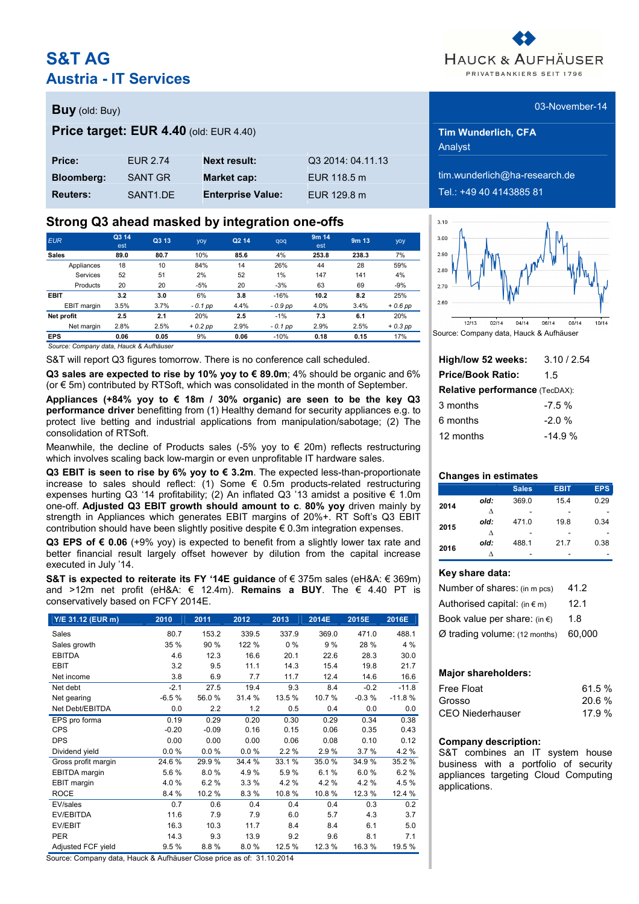# **S&T AG Austria - IT Services**



### **Buy** (old: Buy) 03-November-14

### **Price target: EUR 4.40** (old: EUR 4.40) **Tim Wunderlich, CFA**

| Price:            | <b>FUR 2.74</b>      | <b>Next result:</b>      | Q3 2014: 04.11.13 |
|-------------------|----------------------|--------------------------|-------------------|
| <b>Bloomberg:</b> | SANT GR              | Market cap:              | EUR 118.5 m       |
| <b>Reuters:</b>   | SANT <sub>1</sub> DF | <b>Enterprise Value:</b> | EUR 129.8 m       |

### **Strong Q3 ahead masked by integration one-offs**

| <b>EUR</b>   | Q3 14<br>est | Q3 13 | yoy       | Q <sub>2</sub> 14 | qoq       | 9m 14<br>est | 9m <sub>13</sub> | yoy       |
|--------------|--------------|-------|-----------|-------------------|-----------|--------------|------------------|-----------|
| <b>Sales</b> | 89.0         | 80.7  | 10%       | 85.6              | 4%        | 253.8        | 238.3            | 7%        |
| Appliances   | 18           | 10    | 84%       | 14                | 26%       | 44           | 28               | 59%       |
| Services     | 52           | 51    | 2%        | 52                | 1%        | 147          | 141              | 4%        |
| Products     | 20           | 20    | $-5%$     | 20                | $-3%$     | 63           | 69               | $-9%$     |
| <b>EBIT</b>  | 3.2          | 3.0   | 6%        | 3.8               | $-16%$    | 10.2         | 8.2              | 25%       |
| EBIT margin  | 3.5%         | 3.7%  | $-0.1$ pp | 4.4%              | - 0.9 pp  | 4.0%         | 3.4%             | $+0.6$ pp |
| Net profit   | 2.5          | 2.1   | 20%       | 2.5               | $-1%$     | 7.3          | 6.1              | 20%       |
| Net margin   | 2.8%         | 2.5%  | $+0.2$ pp | 2.9%              | $-0.1$ pp | 2.9%         | 2.5%             | $+0.3$ pp |
| <b>EPS</b>   | 0.06         | 0.05  | 9%        | 0.06              | $-10%$    | 0.18         | 0.15             | 17%       |

*Source: Company data, Hauck & Aufhäuser*

S&T will report Q3 figures tomorrow. There is no conference call scheduled.

**Q3 sales are expected to rise by 10% yoy to € 89.0m**; 4% should be organic and 6% (or  $\epsilon$  5m) contributed by RTSoft, which was consolidated in the month of September.

**Appliances (+84% yoy to € 18m / 30% organic) are seen to be the key Q3 performance driver** benefitting from (1) Healthy demand for security appliances e.g. to protect live betting and industrial applications from manipulation/sabotage; (2) The consolidation of RTSoft.

Meanwhile, the decline of Products sales (-5% yoy to  $\epsilon$  20m) reflects restructuring which involves scaling back low-margin or even unprofitable IT hardware sales.

**Q3 EBIT is seen to rise by 6% yoy to € 3.2m**. The expected less-than-proportionate increase to sales should reflect: (1) Some  $\epsilon$  0.5m products-related restructuring expenses hurting Q3 '14 profitability; (2) An inflated Q3 '13 amidst a positive € 1.0m one-off. **Adjusted Q3 EBIT growth should amount to c**. **80% yoy** driven mainly by strength in Appliances which generates EBIT margins of 20%+. RT Soft's Q3 EBIT contribution should have been slightly positive despite € 0.3m integration expenses.

**Q3 EPS of € 0.06** (+9% yoy) is expected to benefit from a slightly lower tax rate and better financial result largely offset however by dilution from the capital increase executed in July '14.

**S&T is expected to reiterate its FY '14E guidance** of € 375m sales (eH&A: € 369m) and >12m net profit (eH&A:  $\in$  12.4m). **Remains a BUY**. The  $\in$  4.40 PT is conservatively based on FCFY 2014E.

| Y/E 31.12 (EUR m)    | 2010    | 2011    | 2012   | 2013   | 2014E  | 2015E   | 2016E    |
|----------------------|---------|---------|--------|--------|--------|---------|----------|
| Sales                | 80.7    | 153.2   | 339.5  | 337.9  | 369.0  | 471.0   | 488.1    |
| Sales growth         | 35 %    | 90 %    | 122 %  | $0\%$  | 9%     | 28 %    | 4 %      |
| <b>EBITDA</b>        | 4.6     | 12.3    | 16.6   | 20.1   | 22.6   | 28.3    | 30.0     |
| <b>EBIT</b>          | 3.2     | 9.5     | 11.1   | 14.3   | 15.4   | 19.8    | 21.7     |
| Net income           | 3.8     | 6.9     | 7.7    | 11.7   | 12.4   | 14.6    | 16.6     |
| Net debt             | $-2.1$  | 27.5    | 19.4   | 9.3    | 8.4    | $-0.2$  | $-11.8$  |
| Net gearing          | $-6.5%$ | 56.0%   | 31.4 % | 13.5 % | 10.7%  | $-0.3%$ | $-11.8%$ |
| Net Debt/EBITDA      | 0.0     | 2.2     | 1.2    | 0.5    | 0.4    | 0.0     | 0.0      |
| EPS pro forma        | 0.19    | 0.29    | 0.20   | 0.30   | 0.29   | 0.34    | 0.38     |
| <b>CPS</b>           | $-0.20$ | $-0.09$ | 0.16   | 0.15   | 0.06   | 0.35    | 0.43     |
| <b>DPS</b>           | 0.00    | 0.00    | 0.00   | 0.06   | 0.08   | 0.10    | 0.12     |
| Dividend yield       | 0.0%    | 0.0%    | 0.0%   | 2.2%   | 2.9%   | 3.7%    | 4.2%     |
| Gross profit margin  | 24.6%   | 29.9%   | 34.4 % | 33.1%  | 35.0%  | 34.9%   | 35.2%    |
| <b>EBITDA</b> margin | 5.6%    | 8.0%    | 4.9%   | 5.9%   | 6.1%   | 6.0%    | 6.2%     |
| EBIT margin          | 4.0%    | 6.2%    | 3.3%   | 4.2%   | 4.2%   | 4.2%    | 4.5%     |
| <b>ROCE</b>          | 8.4 %   | 10.2%   | 8.3%   | 10.8%  | 10.8%  | 12.3 %  | 12.4 %   |
| EV/sales             | 0.7     | 0.6     | 0.4    | 0.4    | 0.4    | 0.3     | 0.2      |
| EV/EBITDA            | 11.6    | 7.9     | 7.9    | 6.0    | 5.7    | 4.3     | 3.7      |
| EV/EBIT              | 16.3    | 10.3    | 11.7   | 8.4    | 8.4    | 6.1     | 5.0      |
| <b>PER</b>           | 14.3    | 9.3     | 13.9   | 9.2    | 9.6    | 8.1     | 7.1      |
| Adjusted FCF yield   | 9.5%    | 8.8%    | 8.0%   | 12.5 % | 12.3 % | 16.3%   | 19.5 %   |

Source: Company data, Hauck & Aufhäuser Close price as of: 31.10.2014

Analyst

 $t$ im.wunderlich@ha-research.de **Reuters:** SANT1.DE **Enterprise Value:** EUR 129.8 m Tel.: +49 40 4143885 81



#### Source: Company data, Hauck & Aufhäuser

| High/low 52 weeks:                    | 3.10 / 2.54 |  |  |  |  |  |  |
|---------------------------------------|-------------|--|--|--|--|--|--|
| <b>Price/Book Ratio:</b>              | 15          |  |  |  |  |  |  |
| <b>Relative performance (TecDAX):</b> |             |  |  |  |  |  |  |
| 3 months                              | $-7.5%$     |  |  |  |  |  |  |
| 6 months                              | $-2.0%$     |  |  |  |  |  |  |
| 12 months                             | $-14.9%$    |  |  |  |  |  |  |

#### **Changes in estimates**

|      |      | <b>Sales</b> | <b>EBIT</b> | <b>EPS</b> |
|------|------|--------------|-------------|------------|
| 2014 | old: | 369.0        | 15.4        | 0.29       |
| ٨    |      |              |             |            |
| 2015 | old: | 471.0        | 19.8        | 0.34       |
|      | л    |              |             |            |
| 2016 | old: | 488.1        | 21.7        | 0.38       |
|      |      |              |             |            |

#### **Key share data:**

| Number of shares: (in m pcs)           | 41.2   |
|----------------------------------------|--------|
| Authorised capital: $(in \in m)$       | 12.1   |
| Book value per share: (in $\epsilon$ ) | 1.8    |
| $Ø$ trading volume: (12 months)        | 60.000 |

#### **Major shareholders:**

| Free Float       | 61.5 %   |
|------------------|----------|
| Grosso           | $20.6\%$ |
| CEO Niederhauser | 17.9%    |

#### **Company description:**

S&T combines an IT system house business with a portfolio of security appliances targeting Cloud Computing applications.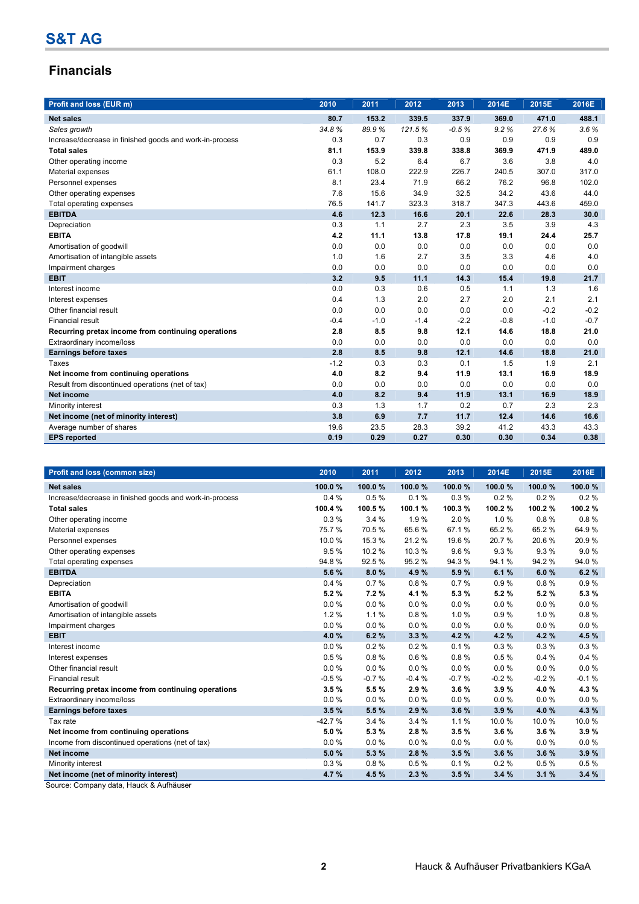# **Financials**

| Profit and loss (EUR m)                                 | 2010   | 2011   | 2012   | 2013    | 2014E  | 2015E  | 2016E  |
|---------------------------------------------------------|--------|--------|--------|---------|--------|--------|--------|
| <b>Net sales</b>                                        | 80.7   | 153.2  | 339.5  | 337.9   | 369.0  | 471.0  | 488.1  |
| Sales growth                                            | 34.8%  | 89.9%  | 121.5% | $-0.5%$ | 9.2%   | 27.6%  | 3.6%   |
| Increase/decrease in finished goods and work-in-process | 0.3    | 0.7    | 0.3    | 0.9     | 0.9    | 0.9    | 0.9    |
| <b>Total sales</b>                                      | 81.1   | 153.9  | 339.8  | 338.8   | 369.9  | 471.9  | 489.0  |
| Other operating income                                  | 0.3    | 5.2    | 6.4    | 6.7     | 3.6    | 3.8    | 4.0    |
| Material expenses                                       | 61.1   | 108.0  | 222.9  | 226.7   | 240.5  | 307.0  | 317.0  |
| Personnel expenses                                      | 8.1    | 23.4   | 71.9   | 66.2    | 76.2   | 96.8   | 102.0  |
| Other operating expenses                                | 7.6    | 15.6   | 34.9   | 32.5    | 34.2   | 43.6   | 44.0   |
| Total operating expenses                                | 76.5   | 141.7  | 323.3  | 318.7   | 347.3  | 443.6  | 459.0  |
| <b>EBITDA</b>                                           | 4.6    | 12.3   | 16.6   | 20.1    | 22.6   | 28.3   | 30.0   |
| Depreciation                                            | 0.3    | 1.1    | 2.7    | 2.3     | 3.5    | 3.9    | 4.3    |
| <b>EBITA</b>                                            | 4.2    | 11.1   | 13.8   | 17.8    | 19.1   | 24.4   | 25.7   |
| Amortisation of goodwill                                | 0.0    | 0.0    | 0.0    | 0.0     | 0.0    | 0.0    | 0.0    |
| Amortisation of intangible assets                       | 1.0    | 1.6    | 2.7    | 3.5     | 3.3    | 4.6    | 4.0    |
| Impairment charges                                      | 0.0    | 0.0    | 0.0    | 0.0     | 0.0    | 0.0    | 0.0    |
| <b>EBIT</b>                                             | 3.2    | 9.5    | 11.1   | 14.3    | 15.4   | 19.8   | 21.7   |
| Interest income                                         | 0.0    | 0.3    | 0.6    | 0.5     | 1.1    | 1.3    | 1.6    |
| Interest expenses                                       | 0.4    | 1.3    | 2.0    | 2.7     | 2.0    | 2.1    | 2.1    |
| Other financial result                                  | 0.0    | 0.0    | 0.0    | 0.0     | 0.0    | $-0.2$ | $-0.2$ |
| <b>Financial result</b>                                 | $-0.4$ | $-1.0$ | $-1.4$ | $-2.2$  | $-0.8$ | $-1.0$ | $-0.7$ |
| Recurring pretax income from continuing operations      | 2.8    | 8.5    | 9.8    | 12.1    | 14.6   | 18.8   | 21.0   |
| Extraordinary income/loss                               | 0.0    | 0.0    | 0.0    | 0.0     | 0.0    | 0.0    | 0.0    |
| <b>Earnings before taxes</b>                            | 2.8    | 8.5    | 9.8    | 12.1    | 14.6   | 18.8   | 21.0   |
| Taxes                                                   | $-1.2$ | 0.3    | 0.3    | 0.1     | 1.5    | 1.9    | 2.1    |
| Net income from continuing operations                   | 4.0    | 8.2    | 9.4    | 11.9    | 13.1   | 16.9   | 18.9   |
| Result from discontinued operations (net of tax)        | 0.0    | 0.0    | 0.0    | 0.0     | 0.0    | 0.0    | 0.0    |
| <b>Net income</b>                                       | 4.0    | 8.2    | 9.4    | 11.9    | 13.1   | 16.9   | 18.9   |
| Minority interest                                       | 0.3    | 1.3    | 1.7    | 0.2     | 0.7    | 2.3    | 2.3    |
| Net income (net of minority interest)                   | 3.8    | 6.9    | 7.7    | 11.7    | 12.4   | 14.6   | 16.6   |
| Average number of shares                                | 19.6   | 23.5   | 28.3   | 39.2    | 41.2   | 43.3   | 43.3   |
| <b>EPS</b> reported                                     | 0.19   | 0.29   | 0.27   | 0.30    | 0.30   | 0.34   | 0.38   |

| <b>Profit and loss (common size)</b>                    | 2010     | 2011    | 2012    | 2013    | 2014E   | 2015E   | 2016E   |
|---------------------------------------------------------|----------|---------|---------|---------|---------|---------|---------|
| <b>Net sales</b>                                        | 100.0%   | 100.0%  | 100.0%  | 100.0%  | 100.0%  | 100.0%  | 100.0%  |
| Increase/decrease in finished goods and work-in-process | 0.4%     | 0.5%    | 0.1%    | 0.3%    | 0.2%    | 0.2%    | 0.2%    |
| <b>Total sales</b>                                      | 100.4%   | 100.5%  | 100.1%  | 100.3%  | 100.2%  | 100.2%  | 100.2%  |
| Other operating income                                  | 0.3%     | 3.4%    | 1.9%    | 2.0%    | 1.0%    | 0.8%    | 0.8%    |
| Material expenses                                       | 75.7%    | 70.5%   | 65.6%   | 67.1%   | 65.2%   | 65.2%   | 64.9%   |
| Personnel expenses                                      | 10.0%    | 15.3 %  | 21.2%   | 19.6 %  | 20.7%   | 20.6%   | 20.9%   |
| Other operating expenses                                | 9.5%     | 10.2 %  | 10.3%   | 9.6%    | 9.3%    | 9.3%    | 9.0%    |
| Total operating expenses                                | 94.8%    | 92.5 %  | 95.2%   | 94.3%   | 94.1%   | 94.2%   | 94.0%   |
| <b>EBITDA</b>                                           | 5.6 %    | 8.0%    | 4.9%    | 5.9%    | 6.1%    | 6.0%    | 6.2%    |
| Depreciation                                            | 0.4%     | 0.7%    | 0.8%    | 0.7%    | 0.9%    | 0.8%    | 0.9%    |
| <b>EBITA</b>                                            | 5.2%     | 7.2%    | 4.1%    | 5.3 %   | 5.2%    | 5.2%    | 5.3%    |
| Amortisation of goodwill                                | 0.0%     | 0.0%    | 0.0%    | 0.0%    | 0.0%    | 0.0%    | 0.0%    |
| Amortisation of intangible assets                       | 1.2%     | 1.1%    | 0.8%    | 1.0%    | 0.9%    | 1.0%    | 0.8%    |
| Impairment charges                                      | 0.0%     | 0.0%    | 0.0%    | 0.0%    | 0.0%    | 0.0%    | 0.0%    |
| <b>EBIT</b>                                             | 4.0%     | 6.2%    | 3.3%    | 4.2%    | 4.2%    | 4.2 %   | 4.5 %   |
| Interest income                                         | 0.0%     | 0.2%    | 0.2%    | 0.1%    | 0.3%    | 0.3%    | 0.3%    |
| Interest expenses                                       | 0.5%     | 0.8%    | 0.6%    | 0.8%    | 0.5%    | 0.4%    | 0.4%    |
| Other financial result                                  | 0.0%     | 0.0%    | 0.0%    | 0.0%    | 0.0%    | 0.0%    | 0.0%    |
| <b>Financial result</b>                                 | $-0.5%$  | $-0.7%$ | $-0.4%$ | $-0.7%$ | $-0.2%$ | $-0.2%$ | $-0.1%$ |
| Recurring pretax income from continuing operations      | 3.5%     | 5.5%    | 2.9%    | 3.6%    | 3.9%    | 4.0%    | 4.3%    |
| Extraordinary income/loss                               | 0.0%     | 0.0%    | 0.0%    | 0.0%    | 0.0%    | 0.0%    | 0.0%    |
| <b>Earnings before taxes</b>                            | 3.5%     | 5.5%    | 2.9%    | 3.6%    | 3.9%    | 4.0%    | 4.3 %   |
| Tax rate                                                | $-42.7%$ | 3.4%    | 3.4%    | 1.1%    | 10.0%   | 10.0%   | 10.0%   |
| Net income from continuing operations                   | 5.0%     | 5.3%    | 2.8%    | 3.5%    | 3.6%    | 3.6%    | 3.9%    |
| Income from discontinued operations (net of tax)        | 0.0%     | 0.0%    | 0.0%    | 0.0%    | 0.0%    | 0.0%    | 0.0%    |
| <b>Net income</b>                                       | 5.0%     | 5.3%    | 2.8%    | 3.5%    | 3.6%    | 3.6%    | 3.9%    |
| Minority interest                                       | 0.3%     | 0.8%    | 0.5%    | 0.1%    | 0.2%    | 0.5%    | 0.5%    |
| Net income (net of minority interest)                   | 4.7%     | 4.5%    | 2.3%    | 3.5%    | 3.4%    | 3.1%    | 3.4%    |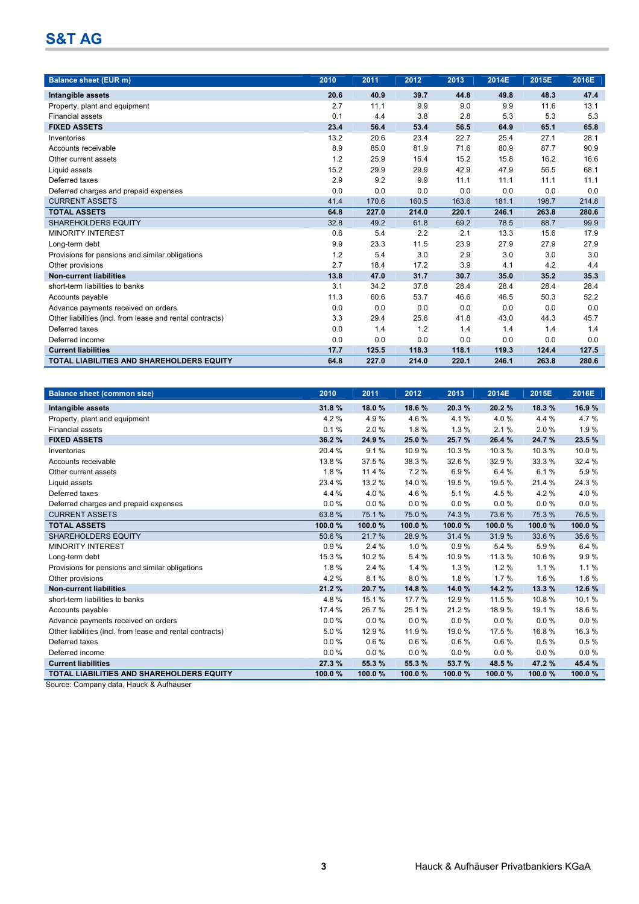# **S&T AG**

| <b>Balance sheet (EUR m)</b>                              | 2010 | 2011  | 2012  | 2013  | 2014E | 2015E | 2016E |
|-----------------------------------------------------------|------|-------|-------|-------|-------|-------|-------|
| Intangible assets                                         | 20.6 | 40.9  | 39.7  | 44.8  | 49.8  | 48.3  | 47.4  |
| Property, plant and equipment                             | 2.7  | 11.1  | 9.9   | 9.0   | 9.9   | 11.6  | 13.1  |
| <b>Financial assets</b>                                   | 0.1  | 4.4   | 3.8   | 2.8   | 5.3   | 5.3   | 5.3   |
| <b>FIXED ASSETS</b>                                       | 23.4 | 56.4  | 53.4  | 56.5  | 64.9  | 65.1  | 65.8  |
| Inventories                                               | 13.2 | 20.6  | 23.4  | 22.7  | 25.4  | 27.1  | 28.1  |
| Accounts receivable                                       | 8.9  | 85.0  | 81.9  | 71.6  | 80.9  | 87.7  | 90.9  |
| Other current assets                                      | 1.2  | 25.9  | 15.4  | 15.2  | 15.8  | 16.2  | 16.6  |
| Liquid assets                                             | 15.2 | 29.9  | 29.9  | 42.9  | 47.9  | 56.5  | 68.1  |
| Deferred taxes                                            | 2.9  | 9.2   | 9.9   | 11.1  | 11.1  | 11.1  | 11.1  |
| Deferred charges and prepaid expenses                     | 0.0  | 0.0   | 0.0   | 0.0   | 0.0   | 0.0   | 0.0   |
| <b>CURRENT ASSETS</b>                                     | 41.4 | 170.6 | 160.5 | 163.6 | 181.1 | 198.7 | 214.8 |
| <b>TOTAL ASSETS</b>                                       | 64.8 | 227.0 | 214.0 | 220.1 | 246.1 | 263.8 | 280.6 |
| <b>SHAREHOLDERS EQUITY</b>                                | 32.8 | 49.2  | 61.8  | 69.2  | 78.5  | 88.7  | 99.9  |
| <b>MINORITY INTEREST</b>                                  | 0.6  | 5.4   | 2.2   | 2.1   | 13.3  | 15.6  | 17.9  |
| Long-term debt                                            | 9.9  | 23.3  | 11.5  | 23.9  | 27.9  | 27.9  | 27.9  |
| Provisions for pensions and similar obligations           | 1.2  | 5.4   | 3.0   | 2.9   | 3.0   | 3.0   | 3.0   |
| Other provisions                                          | 2.7  | 18.4  | 17.2  | 3.9   | 4.1   | 4.2   | 4.4   |
| <b>Non-current liabilities</b>                            | 13.8 | 47.0  | 31.7  | 30.7  | 35.0  | 35.2  | 35.3  |
| short-term liabilities to banks                           | 3.1  | 34.2  | 37.8  | 28.4  | 28.4  | 28.4  | 28.4  |
| Accounts payable                                          | 11.3 | 60.6  | 53.7  | 46.6  | 46.5  | 50.3  | 52.2  |
| Advance payments received on orders                       | 0.0  | 0.0   | 0.0   | 0.0   | 0.0   | 0.0   | 0.0   |
| Other liabilities (incl. from lease and rental contracts) | 3.3  | 29.4  | 25.6  | 41.8  | 43.0  | 44.3  | 45.7  |
| Deferred taxes                                            | 0.0  | 1.4   | 1.2   | 1.4   | 1.4   | 1.4   | 1.4   |
| Deferred income                                           | 0.0  | 0.0   | 0.0   | 0.0   | 0.0   | 0.0   | 0.0   |
| <b>Current liabilities</b>                                | 17.7 | 125.5 | 118.3 | 118.1 | 119.3 | 124.4 | 127.5 |
| <b>TOTAL LIABILITIES AND SHAREHOLDERS EQUITY</b>          | 64.8 | 227.0 | 214.0 | 220.1 | 246.1 | 263.8 | 280.6 |

| <b>Balance sheet (common size)</b>                        | 2010     | 2011     | 2012    | 2013   | 2014E    | 2015E  | 2016E   |
|-----------------------------------------------------------|----------|----------|---------|--------|----------|--------|---------|
| Intangible assets                                         | 31.8%    | 18.0%    | 18.6%   | 20.3%  | 20.2%    | 18.3%  | 16.9%   |
| Property, plant and equipment                             | 4.2%     | 4.9%     | 4.6%    | 4.1%   | 4.0%     | 4.4 %  | 4.7%    |
| <b>Financial assets</b>                                   | 0.1%     | 2.0%     | 1.8%    | 1.3%   | 2.1%     | 2.0%   | 1.9%    |
| <b>FIXED ASSETS</b>                                       | 36.2%    | 24.9 %   | 25.0%   | 25.7%  | 26.4 %   | 24.7%  | 23.5%   |
| Inventories                                               | 20.4 %   | 9.1%     | 10.9%   | 10.3%  | 10.3%    | 10.3%  | 10.0%   |
| Accounts receivable                                       | 13.8%    | 37.5 %   | 38.3 %  | 32.6%  | 32.9%    | 33.3 % | 32.4 %  |
| Other current assets                                      | 1.8%     | 11.4 %   | 7.2%    | 6.9%   | 6.4 %    | 6.1%   | 5.9%    |
| Liquid assets                                             | 23.4 %   | 13.2 %   | 14.0 %  | 19.5 % | 19.5%    | 21.4 % | 24.3%   |
| Deferred taxes                                            | 4.4%     | 4.0%     | 4.6 %   | 5.1%   | 4.5 %    | 4.2%   | 4.0%    |
| Deferred charges and prepaid expenses                     | $0.0 \%$ | $0.0\%$  | 0.0%    | 0.0%   | 0.0%     | 0.0%   | 0.0%    |
| <b>CURRENT ASSETS</b>                                     | 63.8%    | 75.1%    | 75.0%   | 74.3%  | 73.6%    | 75.3 % | 76.5%   |
| <b>TOTAL ASSETS</b>                                       | 100.0%   | 100.0%   | 100.0%  | 100.0% | 100.0%   | 100.0% | 100.0 % |
| <b>SHAREHOLDERS EQUITY</b>                                | 50.6%    | 21.7%    | 28.9%   | 31.4 % | 31.9%    | 33.6 % | 35.6%   |
| <b>MINORITY INTEREST</b>                                  | 0.9%     | 2.4%     | 1.0%    | 0.9%   | 5.4 %    | 5.9%   | 6.4%    |
| Long-term debt                                            | 15.3 %   | 10.2%    | 5.4 %   | 10.9%  | 11.3 %   | 10.6%  | 9.9%    |
| Provisions for pensions and similar obligations           | 1.8%     | 2.4%     | 1.4%    | 1.3%   | 1.2%     | 1.1%   | 1.1%    |
| Other provisions                                          | 4.2%     | 8.1%     | 8.0%    | 1.8%   | 1.7%     | 1.6%   | 1.6%    |
| <b>Non-current liabilities</b>                            | 21.2%    | 20.7%    | 14.8%   | 14.0%  | 14.2 %   | 13.3 % | 12.6 %  |
| short-term liabilities to banks                           | 4.8%     | 15.1%    | 17.7 %  | 12.9%  | 11.5 %   | 10.8%  | 10.1%   |
| Accounts payable                                          | 17.4 %   | 26.7%    | 25.1%   | 21.2%  | 18.9%    | 19.1 % | 18.6%   |
| Advance payments received on orders                       | 0.0%     | $0.0\%$  | 0.0%    | 0.0%   | 0.0%     | 0.0%   | 0.0%    |
| Other liabilities (incl. from lease and rental contracts) | 5.0%     | 12.9%    | 11.9%   | 19.0 % | 17.5%    | 16.8%  | 16.3%   |
| Deferred taxes                                            | 0.0%     | 0.6%     | 0.6%    | 0.6%   | 0.6%     | 0.5%   | 0.5%    |
| Deferred income                                           | $0.0 \%$ | $0.0 \%$ | 0.0%    | 0.0%   | $0.0 \%$ | 0.0%   | 0.0%    |
| <b>Current liabilities</b>                                | 27.3%    | 55.3 %   | 55.3 %  | 53.7%  | 48.5%    | 47.2%  | 45.4 %  |
| TOTAL LIABILITIES AND SHAREHOLDERS EQUITY                 | 100.0%   | 100.0%   | 100.0 % | 100.0% | 100.0%   | 100.0% | 100.0%  |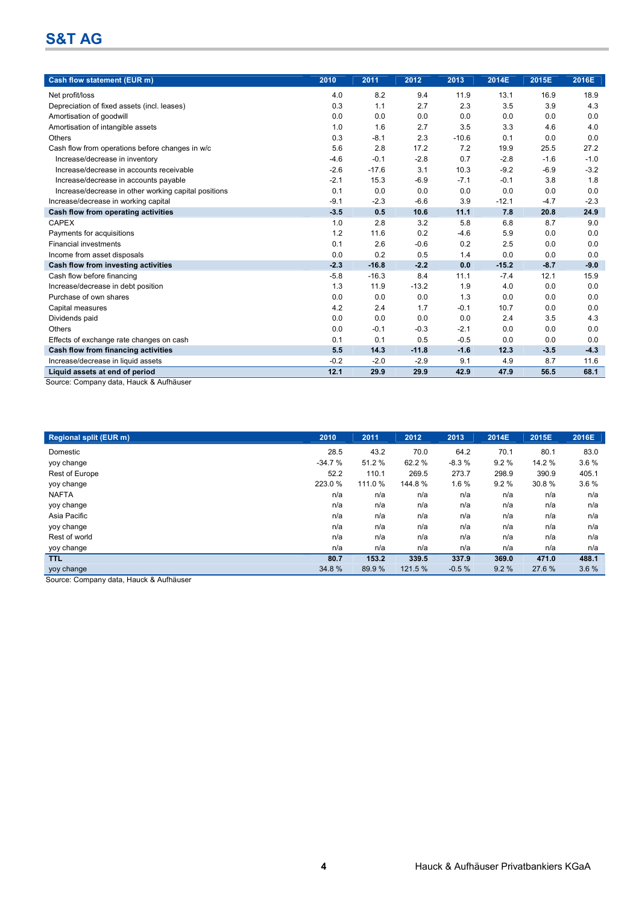# **S&T AG**

| Cash flow statement (EUR m)                                               | 2010   | 2011    | 2012    | 2013    | 2014E   | 2015E  | 2016E  |
|---------------------------------------------------------------------------|--------|---------|---------|---------|---------|--------|--------|
| Net profit/loss                                                           | 4.0    | 8.2     | 9.4     | 11.9    | 13.1    | 16.9   | 18.9   |
| Depreciation of fixed assets (incl. leases)                               | 0.3    | 1.1     | 2.7     | 2.3     | 3.5     | 3.9    | 4.3    |
| Amortisation of goodwill                                                  | 0.0    | 0.0     | 0.0     | 0.0     | 0.0     | 0.0    | 0.0    |
| Amortisation of intangible assets                                         | 1.0    | 1.6     | 2.7     | 3.5     | 3.3     | 4.6    | 4.0    |
| Others                                                                    | 0.3    | $-8.1$  | 2.3     | $-10.6$ | 0.1     | 0.0    | 0.0    |
| Cash flow from operations before changes in w/c                           | 5.6    | 2.8     | 17.2    | 7.2     | 19.9    | 25.5   | 27.2   |
| Increase/decrease in inventory                                            | $-4.6$ | $-0.1$  | $-2.8$  | 0.7     | $-2.8$  | $-1.6$ | $-1.0$ |
| Increase/decrease in accounts receivable                                  | $-2.6$ | $-17.6$ | 3.1     | 10.3    | $-9.2$  | $-6.9$ | $-3.2$ |
| Increase/decrease in accounts payable                                     | $-2.1$ | 15.3    | $-6.9$  | $-7.1$  | $-0.1$  | 3.8    | 1.8    |
| Increase/decrease in other working capital positions                      | 0.1    | 0.0     | 0.0     | 0.0     | 0.0     | 0.0    | 0.0    |
| Increase/decrease in working capital                                      | $-9.1$ | $-2.3$  | $-6.6$  | 3.9     | $-12.1$ | $-4.7$ | $-2.3$ |
| Cash flow from operating activities                                       | $-3.5$ | 0.5     | 10.6    | 11.1    | 7.8     | 20.8   | 24.9   |
| <b>CAPEX</b>                                                              | 1.0    | 2.8     | 3.2     | 5.8     | 6.8     | 8.7    | 9.0    |
| Payments for acquisitions                                                 | 1.2    | 11.6    | 0.2     | $-4.6$  | 5.9     | 0.0    | 0.0    |
| <b>Financial investments</b>                                              | 0.1    | 2.6     | $-0.6$  | 0.2     | 2.5     | 0.0    | 0.0    |
| Income from asset disposals                                               | 0.0    | 0.2     | 0.5     | 1.4     | 0.0     | 0.0    | 0.0    |
| Cash flow from investing activities                                       | $-2.3$ | $-16.8$ | $-2.2$  | 0.0     | $-15.2$ | $-8.7$ | $-9.0$ |
| Cash flow before financing                                                | $-5.8$ | $-16.3$ | 8.4     | 11.1    | $-7.4$  | 12.1   | 15.9   |
| Increase/decrease in debt position                                        | 1.3    | 11.9    | $-13.2$ | 1.9     | 4.0     | 0.0    | 0.0    |
| Purchase of own shares                                                    | 0.0    | 0.0     | 0.0     | 1.3     | 0.0     | 0.0    | 0.0    |
| Capital measures                                                          | 4.2    | 2.4     | 1.7     | $-0.1$  | 10.7    | 0.0    | 0.0    |
| Dividends paid                                                            | 0.0    | 0.0     | 0.0     | 0.0     | 2.4     | 3.5    | 4.3    |
| Others                                                                    | 0.0    | $-0.1$  | $-0.3$  | $-2.1$  | 0.0     | 0.0    | 0.0    |
| Effects of exchange rate changes on cash                                  | 0.1    | 0.1     | 0.5     | $-0.5$  | 0.0     | 0.0    | 0.0    |
| Cash flow from financing activities                                       | 5.5    | 14.3    | $-11.8$ | $-1.6$  | 12.3    | $-3.5$ | $-4.3$ |
| Increase/decrease in liquid assets                                        | $-0.2$ | $-2.0$  | $-2.9$  | 9.1     | 4.9     | 8.7    | 11.6   |
| Liquid assets at end of period<br>Course: Company data Houal, 8 Aufhäuser | 12.1   | 29.9    | 29.9    | 42.9    | 47.9    | 56.5   | 68.1   |

Source: Company data, Hauck & Aufhäuser

| 2010     | 2011    | 2012    | 2013    | 2014E | 2015E  | 2016E |
|----------|---------|---------|---------|-------|--------|-------|
| 28.5     | 43.2    | 70.0    | 64.2    | 70.1  | 80.1   | 83.0  |
| $-34.7%$ | 51.2 %  | 62.2 %  | $-8.3%$ | 9.2%  | 14.2 % | 3.6%  |
| 52.2     | 110.1   | 269.5   | 273.7   | 298.9 | 390.9  | 405.1 |
| 223.0 %  | 111.0 % | 144.8%  | 1.6%    | 9.2%  | 30.8%  | 3.6%  |
| n/a      | n/a     | n/a     | n/a     | n/a   | n/a    | n/a   |
| n/a      | n/a     | n/a     | n/a     | n/a   | n/a    | n/a   |
| n/a      | n/a     | n/a     | n/a     | n/a   | n/a    | n/a   |
| n/a      | n/a     | n/a     | n/a     | n/a   | n/a    | n/a   |
| n/a      | n/a     | n/a     | n/a     | n/a   | n/a    | n/a   |
| n/a      | n/a     | n/a     | n/a     | n/a   | n/a    | n/a   |
| 80.7     | 153.2   | 339.5   | 337.9   | 369.0 | 471.0  | 488.1 |
| 34.8%    | 89.9 %  | 121.5 % | $-0.5%$ | 9.2%  | 27.6%  | 3.6%  |
|          |         |         |         |       |        |       |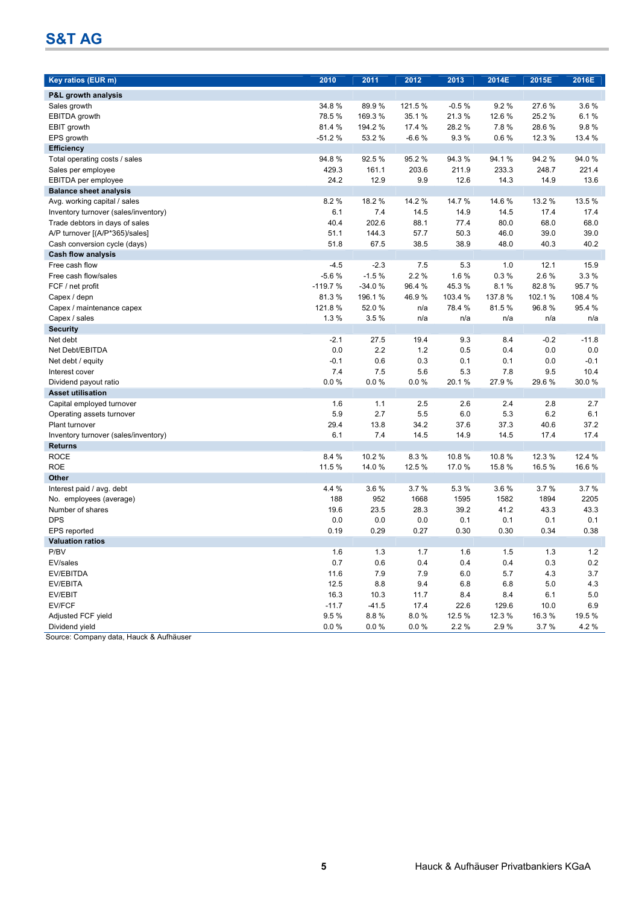# **S&T AG**

| Key ratios (EUR m)                   | 2010               | 2011             | 2012              | 2013          | 2014E          | 2015E           | 2016E   |
|--------------------------------------|--------------------|------------------|-------------------|---------------|----------------|-----------------|---------|
|                                      |                    |                  |                   |               |                |                 |         |
| P&L growth analysis                  |                    |                  |                   |               |                |                 |         |
| Sales growth                         | 34.8%<br>78.5%     | 89.9%            | 121.5%<br>35.1 %  | $-0.5%$       | 9.2%<br>12.6 % | 27.6%           | 3.6%    |
| <b>EBITDA</b> growth                 |                    | 169.3%           |                   | 21.3%         |                | 25.2 %          | 6.1%    |
| EBIT growth<br>EPS growth            | 81.4 %<br>$-51.2%$ | 194.2 %<br>53.2% | 17.4 %<br>$-6.6%$ | 28.2%<br>9.3% | 7.8%<br>0.6%   | 28.6%<br>12.3 % | 9.8%    |
|                                      |                    |                  |                   |               |                |                 | 13.4 %  |
| <b>Efficiency</b>                    | 94.8%              |                  |                   |               |                |                 | 94.0%   |
| Total operating costs / sales        |                    | 92.5%            | 95.2%             | 94.3%         | 94.1%          | 94.2%           |         |
| Sales per employee                   | 429.3              | 161.1            | 203.6             | 211.9         | 233.3          | 248.7           | 221.4   |
| EBITDA per employee                  | 24.2               | 12.9             | 9.9               | 12.6          | 14.3           | 14.9            | 13.6    |
| <b>Balance sheet analysis</b>        | 8.2%               | 18.2 %           |                   | 14.7 %        | 14.6 %         | 13.2 %          | 13.5 %  |
| Avg. working capital / sales         |                    |                  | 14.2 %            |               |                |                 |         |
| Inventory turnover (sales/inventory) | 6.1                | 7.4              | 14.5              | 14.9          | 14.5           | 17.4            | 17.4    |
| Trade debtors in days of sales       | 40.4               | 202.6            | 88.1              | 77.4          | 80.0           | 68.0            | 68.0    |
| A/P turnover [(A/P*365)/sales]       | 51.1               | 144.3            | 57.7              | 50.3          | 46.0           | 39.0            | 39.0    |
| Cash conversion cycle (days)         | 51.8               | 67.5             | 38.5              | 38.9          | 48.0           | 40.3            | 40.2    |
| <b>Cash flow analysis</b>            |                    |                  |                   |               |                |                 |         |
| Free cash flow                       | $-4.5$             | $-2.3$           | 7.5               | 5.3           | 1.0            | 12.1            | 15.9    |
| Free cash flow/sales                 | $-5.6%$            | $-1.5%$          | 2.2%              | 1.6%          | 0.3%           | 2.6%            | 3.3%    |
| FCF / net profit                     | $-119.7%$          | $-34.0%$         | 96.4 %            | 45.3%         | 8.1%           | 82.8%           | 95.7%   |
| Capex / depn                         | 81.3%              | 196.1%           | 46.9%             | 103.4 %       | 137.8%         | 102.1 %         | 108.4 % |
| Capex / maintenance capex            | 121.8%             | 52.0%            | n/a               | 78.4 %        | 81.5%          | 96.8%           | 95.4 %  |
| Capex / sales                        | 1.3%               | 3.5%             | n/a               | n/a           | n/a            | n/a             | n/a     |
| <b>Security</b>                      |                    |                  |                   |               |                |                 |         |
| Net debt                             | $-2.1$             | 27.5             | 19.4              | 9.3           | 8.4            | $-0.2$          | $-11.8$ |
| Net Debt/EBITDA                      | 0.0                | 2.2              | 1.2               | 0.5           | 0.4            | 0.0             | 0.0     |
| Net debt / equity                    | $-0.1$             | 0.6              | 0.3               | 0.1           | 0.1            | 0.0             | $-0.1$  |
| Interest cover                       | 7.4                | 7.5              | 5.6               | 5.3           | 7.8            | 9.5             | 10.4    |
| Dividend payout ratio                | $0.0 \%$           | 0.0%             | $0.0 \%$          | 20.1%         | 27.9%          | 29.6 %          | 30.0%   |
| <b>Asset utilisation</b>             |                    |                  |                   |               |                |                 |         |
| Capital employed turnover            | 1.6                | 1.1              | 2.5               | 2.6           | 2.4            | 2.8             | 2.7     |
| Operating assets turnover            | 5.9                | 2.7              | 5.5               | 6.0           | 5.3            | 6.2             | 6.1     |
| Plant turnover                       | 29.4               | 13.8             | 34.2              | 37.6          | 37.3           | 40.6            | 37.2    |
| Inventory turnover (sales/inventory) | 6.1                | 7.4              | 14.5              | 14.9          | 14.5           | 17.4            | 17.4    |
| <b>Returns</b>                       |                    |                  |                   |               |                |                 |         |
| <b>ROCE</b>                          | 8.4 %              | 10.2%            | 8.3%              | 10.8%         | 10.8%          | 12.3 %          | 12.4 %  |
| <b>ROE</b>                           | 11.5 %             | 14.0%            | 12.5 %            | 17.0%         | 15.8%          | 16.5 %          | 16.6%   |
| Other                                |                    |                  |                   |               |                |                 |         |
| Interest paid / avg. debt            | 4.4 %              | 3.6%             | 3.7%              | 5.3 %         | 3.6%           | 3.7%            | 3.7%    |
| No. employees (average)              | 188                | 952              | 1668              | 1595          | 1582           | 1894            | 2205    |
| Number of shares                     | 19.6               | 23.5             | 28.3              | 39.2          | 41.2           | 43.3            | 43.3    |
| <b>DPS</b>                           | 0.0                | 0.0              | 0.0               | 0.1           | 0.1            | 0.1             | 0.1     |
| EPS reported                         | 0.19               | 0.29             | 0.27              | 0.30          | 0.30           | 0.34            | 0.38    |
| <b>Valuation ratios</b>              |                    |                  |                   |               |                |                 |         |
| P/BV                                 | 1.6                | $1.3$            | 1.7               | 1.6           | 1.5            | $1.3$           | 1.2     |
| EV/sales                             | 0.7                | 0.6              | 0.4               | 0.4           | 0.4            | 0.3             | 0.2     |
| EV/EBITDA                            | 11.6               | 7.9              | 7.9               | $6.0\,$       | $5.7\,$        | 4.3             | 3.7     |
| EV/EBITA                             | 12.5               | 8.8              | 9.4               | 6.8           | 6.8            | $5.0\,$         | 4.3     |
| EV/EBIT                              | 16.3               | 10.3             | 11.7              | 8.4           | 8.4            | 6.1             | $5.0\,$ |
| EV/FCF                               | $-11.7$            | $-41.5$          | 17.4              | 22.6          | 129.6          | 10.0            | 6.9     |
| Adjusted FCF yield                   | 9.5%               | 8.8%             | 8.0%              | 12.5 %        | 12.3 %         | 16.3%           | 19.5 %  |
| Dividend yield                       | $0.0 \%$           | $0.0 \%$         | 0.0 %             | 2.2%          | 2.9%           | 3.7%            | 4.2%    |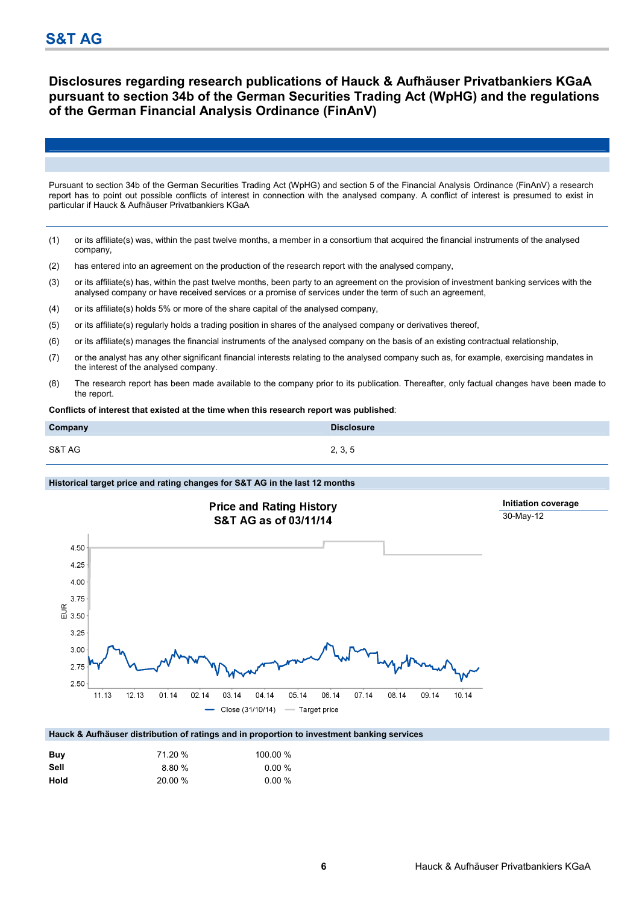## **Disclosures regarding research publications of Hauck & Aufhäuser Privatbankiers KGaA pursuant to section 34b of the German Securities Trading Act (WpHG) and the regulations of the German Financial Analysis Ordinance (FinAnV)**

Pursuant to section 34b of the German Securities Trading Act (WpHG) and section 5 of the Financial Analysis Ordinance (FinAnV) a research report has to point out possible conflicts of interest in connection with the analysed company. A conflict of interest is presumed to exist in particular if Hauck & Aufhäuser Privatbankiers KGaA

- (1) or its affiliate(s) was, within the past twelve months, a member in a consortium that acquired the financial instruments of the analysed company,
- (2) has entered into an agreement on the production of the research report with the analysed company,
- (3) or its affiliate(s) has, within the past twelve months, been party to an agreement on the provision of investment banking services with the analysed company or have received services or a promise of services under the term of such an agreement,
- (4) or its affiliate(s) holds 5% or more of the share capital of the analysed company,
- (5) or its affiliate(s) regularly holds a trading position in shares of the analysed company or derivatives thereof,
- (6) or its affiliate(s) manages the financial instruments of the analysed company on the basis of an existing contractual relationship,
- (7) or the analyst has any other significant financial interests relating to the analysed company such as, for example, exercising mandates in the interest of the analysed company.
- (8) The research report has been made available to the company prior to its publication. Thereafter, only factual changes have been made to the report.

**Conflicts of interest that existed at the time when this research report was published**:

| Company | <b>Disclosure</b> |
|---------|-------------------|
| S&T AG  | 2, 3, 5           |

#### **Historical target price and rating changes for S&T AG in the last 12 months**



| Buy  | 71.20 % | 100.00 %  |
|------|---------|-----------|
| Sell | 8.80%   | $0.00 \%$ |
| Hold | 20.00 % | $0.00 \%$ |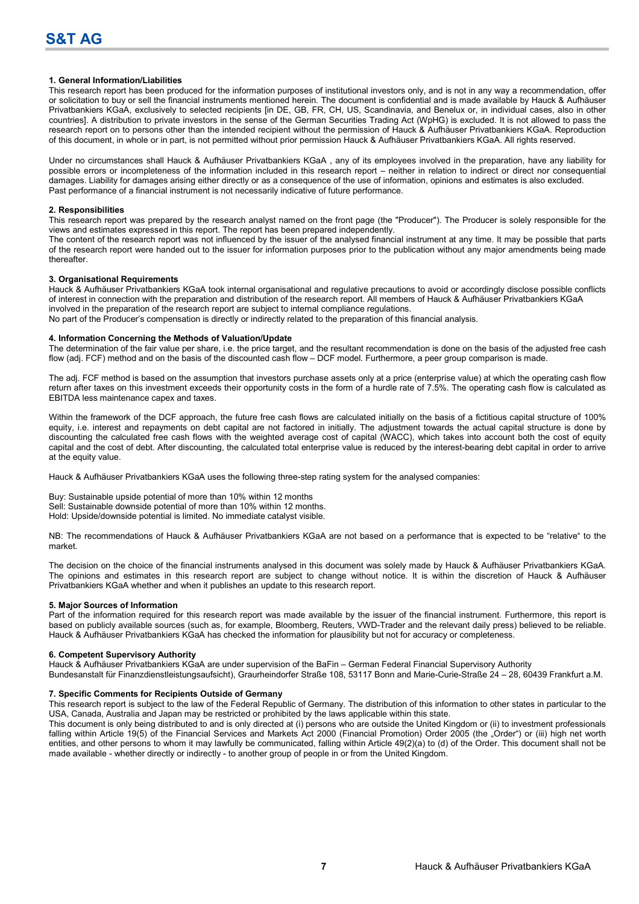#### **1. General Information/Liabilities**

This research report has been produced for the information purposes of institutional investors only, and is not in any way a recommendation, offer or solicitation to buy or sell the financial instruments mentioned herein. The document is confidential and is made available by Hauck & Aufhäuser Privatbankiers KGaA, exclusively to selected recipients [in DE, GB, FR, CH, US, Scandinavia, and Benelux or, in individual cases, also in other countries]. A distribution to private investors in the sense of the German Securities Trading Act (WpHG) is excluded. It is not allowed to pass the research report on to persons other than the intended recipient without the permission of Hauck & Aufhäuser Privatbankiers KGaA. Reproduction of this document, in whole or in part, is not permitted without prior permission Hauck & Aufhäuser Privatbankiers KGaA. All rights reserved.

Under no circumstances shall Hauck & Aufhäuser Privatbankiers KGaA , any of its employees involved in the preparation, have any liability for possible errors or incompleteness of the information included in this research report – neither in relation to indirect or direct nor consequential damages. Liability for damages arising either directly or as a consequence of the use of information, opinions and estimates is also excluded. Past performance of a financial instrument is not necessarily indicative of future performance.

#### **2. Responsibilities**

This research report was prepared by the research analyst named on the front page (the "Producer"). The Producer is solely responsible for the views and estimates expressed in this report. The report has been prepared independently.

The content of the research report was not influenced by the issuer of the analysed financial instrument at any time. It may be possible that parts of the research report were handed out to the issuer for information purposes prior to the publication without any major amendments being made thereafter.

#### **3. Organisational Requirements**

Hauck & Aufhäuser Privatbankiers KGaA took internal organisational and regulative precautions to avoid or accordingly disclose possible conflicts of interest in connection with the preparation and distribution of the research report. All members of Hauck & Aufhäuser Privatbankiers KGaA involved in the preparation of the research report are subject to internal compliance regulations.

No part of the Producer's compensation is directly or indirectly related to the preparation of this financial analysis.

#### **4. Information Concerning the Methods of Valuation/Update**

The determination of the fair value per share, i.e. the price target, and the resultant recommendation is done on the basis of the adjusted free cash flow (adj. FCF) method and on the basis of the discounted cash flow – DCF model. Furthermore, a peer group comparison is made.

The adj. FCF method is based on the assumption that investors purchase assets only at a price (enterprise value) at which the operating cash flow return after taxes on this investment exceeds their opportunity costs in the form of a hurdle rate of 7.5%. The operating cash flow is calculated as EBITDA less maintenance capex and taxes.

Within the framework of the DCF approach, the future free cash flows are calculated initially on the basis of a fictitious capital structure of 100% equity, i.e. interest and repayments on debt capital are not factored in initially. The adjustment towards the actual capital structure is done by discounting the calculated free cash flows with the weighted average cost of capital (WACC), which takes into account both the cost of equity capital and the cost of debt. After discounting, the calculated total enterprise value is reduced by the interest-bearing debt capital in order to arrive at the equity value.

Hauck & Aufhäuser Privatbankiers KGaA uses the following three-step rating system for the analysed companies:

Buy: Sustainable upside potential of more than 10% within 12 months Sell: Sustainable downside potential of more than 10% within 12 months. Hold: Upside/downside potential is limited. No immediate catalyst visible.

NB: The recommendations of Hauck & Aufhäuser Privatbankiers KGaA are not based on a performance that is expected to be "relative" to the market.

The decision on the choice of the financial instruments analysed in this document was solely made by Hauck & Aufhäuser Privatbankiers KGaA. The opinions and estimates in this research report are subject to change without notice. It is within the discretion of Hauck & Aufhäuser Privatbankiers KGaA whether and when it publishes an update to this research report.

#### **5. Major Sources of Information**

Part of the information required for this research report was made available by the issuer of the financial instrument. Furthermore, this report is based on publicly available sources (such as, for example, Bloomberg, Reuters, VWD-Trader and the relevant daily press) believed to be reliable. Hauck & Aufhäuser Privatbankiers KGaA has checked the information for plausibility but not for accuracy or completeness.

### **6. Competent Supervisory Authority**

Hauck & Aufhäuser Privatbankiers KGaA are under supervision of the BaFin – German Federal Financial Supervisory Authority

Bundesanstalt für Finanzdienstleistungsaufsicht), Graurheindorfer Straße 108, 53117 Bonn and Marie-Curie-Straße 24 – 28, 60439 Frankfurt a.M. **7. Specific Comments for Recipients Outside of Germany** 

#### This research report is subject to the law of the Federal Republic of Germany. The distribution of this information to other states in particular to the USA, Canada, Australia and Japan may be restricted or prohibited by the laws applicable within this state.

This document is only being distributed to and is only directed at (i) persons who are outside the United Kingdom or (ii) to investment professionals falling within Article 19(5) of the Financial Services and Markets Act 2000 (Financial Promotion) Order 2005 (the "Order") or (iii) high net worth entities, and other persons to whom it may lawfully be communicated, falling within Article 49(2)(a) to (d) of the Order. This document shall not be made available - whether directly or indirectly - to another group of people in or from the United Kingdom.